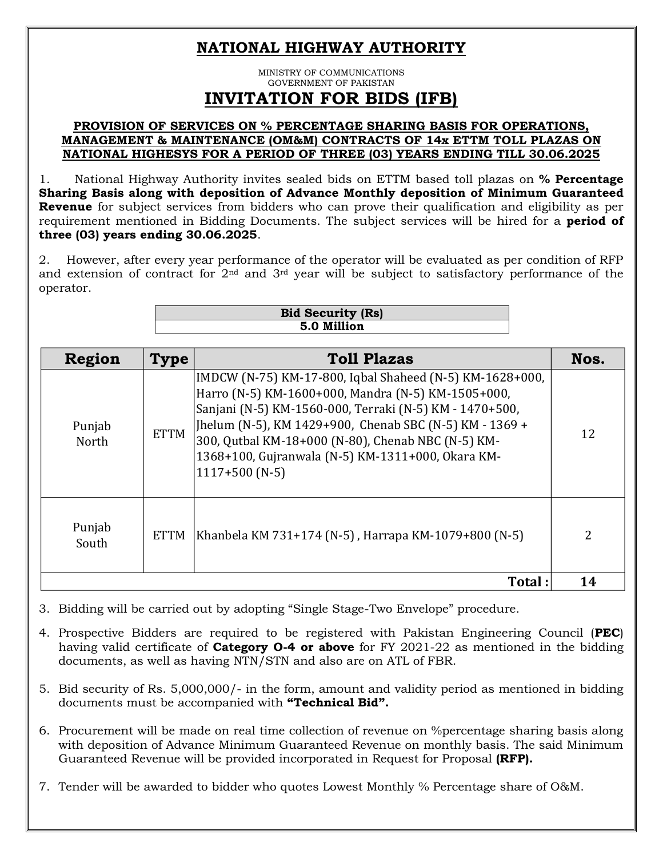## **NATIONAL HIGHWAY AUTHORITY**

MINISTRY OF COMMUNICATIONS GOVERNMENT OF PAKISTAN **INVITATION FOR BIDS (IFB)**

## **PROVISION OF SERVICES ON % PERCENTAGE SHARING BASIS FOR OPERATIONS, MANAGEMENT & MAINTENANCE (OM&M) CONTRACTS OF 14x ETTM TOLL PLAZAS ON NATIONAL HIGHESYS FOR A PERIOD OF THREE (03) YEARS ENDING TILL 30.06.2025**

1. National Highway Authority invites sealed bids on ETTM based toll plazas on **% Percentage Sharing Basis along with deposition of Advance Monthly deposition of Minimum Guaranteed Revenue** for subject services from bidders who can prove their qualification and eligibility as per requirement mentioned in Bidding Documents. The subject services will be hired for a **period of three (03) years ending 30.06.2025**.

2. However, after every year performance of the operator will be evaluated as per condition of RFP and extension of contract for 2nd and 3rd year will be subject to satisfactory performance of the operator.

| <b>Bid Security (Rs)</b> |  |
|--------------------------|--|
| 5.0 Million              |  |
|                          |  |

| Region                                                                                                                                                                                                                                                                            | <b>Type</b> | <b>Toll Plazas</b>                                                                                                                                                                                                                                                                                                                                                  | Nos. |  |
|-----------------------------------------------------------------------------------------------------------------------------------------------------------------------------------------------------------------------------------------------------------------------------------|-------------|---------------------------------------------------------------------------------------------------------------------------------------------------------------------------------------------------------------------------------------------------------------------------------------------------------------------------------------------------------------------|------|--|
| Punjab<br>North                                                                                                                                                                                                                                                                   | <b>ETTM</b> | IMDCW (N-75) KM-17-800, Iqbal Shaheed (N-5) KM-1628+000,<br>Harro (N-5) KM-1600+000, Mandra (N-5) KM-1505+000,<br>Sanjani (N-5) KM-1560-000, Terraki (N-5) KM - 1470+500,<br>Jhelum (N-5), KM 1429+900, Chenab SBC (N-5) KM - 1369 +<br>300, Qutbal KM-18+000 (N-80), Chenab NBC (N-5) KM-<br>1368+100, Gujranwala (N-5) KM-1311+000, Okara KM-<br>$1117+500$ (N-5) | 12   |  |
| Punjab<br>South                                                                                                                                                                                                                                                                   | <b>ETTM</b> | Khanbela KM 731+174 (N-5), Harrapa KM-1079+800 (N-5)                                                                                                                                                                                                                                                                                                                | 2    |  |
|                                                                                                                                                                                                                                                                                   |             | Total:                                                                                                                                                                                                                                                                                                                                                              | 14   |  |
| 3. Bidding will be carried out by adopting "Single Stage-Two Envelope" procedure.                                                                                                                                                                                                 |             |                                                                                                                                                                                                                                                                                                                                                                     |      |  |
| 4. Prospective Bidders are required to be registered with Pakistan Engineering Council (PEC)<br>having valid certificate of <b>Category 0-4 or above</b> for FY 2021-22 as mentioned in the bidding<br>documents, as well as having NTN/STN and also are on ATL of FBR.           |             |                                                                                                                                                                                                                                                                                                                                                                     |      |  |
| 5. Bid security of Rs. 5,000,000/- in the form, amount and validity period as mentioned in bidding<br>documents must be accompanied with "Technical Bid".                                                                                                                         |             |                                                                                                                                                                                                                                                                                                                                                                     |      |  |
| 6. Procurement will be made on real time collection of revenue on % percentage sharing basis along<br>with deposition of Advance Minimum Guaranteed Revenue on monthly basis. The said Minimum<br>Guaranteed Revenue will be provided incorporated in Request for Proposal (RFP). |             |                                                                                                                                                                                                                                                                                                                                                                     |      |  |
| 7. Tender will be awarded to bidder who quotes Lowest Monthly % Percentage share of O&M.                                                                                                                                                                                          |             |                                                                                                                                                                                                                                                                                                                                                                     |      |  |

- 4. Prospective Bidders are required to be registered with Pakistan Engineering Council (**PEC**) having valid certificate of **Category O-4 or above** for FY 2021-22 as mentioned in the bidding documents, as well as having NTN/STN and also are on ATL of FBR.
- 5. Bid security of Rs. 5,000,000/- in the form, amount and validity period as mentioned in bidding documents must be accompanied with **"Technical Bid".**
- 6. Procurement will be made on real time collection of revenue on %percentage sharing basis along with deposition of Advance Minimum Guaranteed Revenue on monthly basis. The said Minimum Guaranteed Revenue will be provided incorporated in Request for Proposal **(RFP).**
-